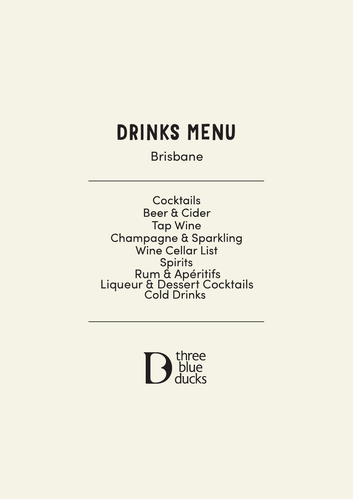# DRINKS MENU

Brisbane

**Cocktails** Beer & Cider **Tap Wine Champagne & Sparkling** Wine Cellar List Spirits<br>Rum & Apéritifs<br>Liqueur & Dessert Cocktails<br>Cold Drinks

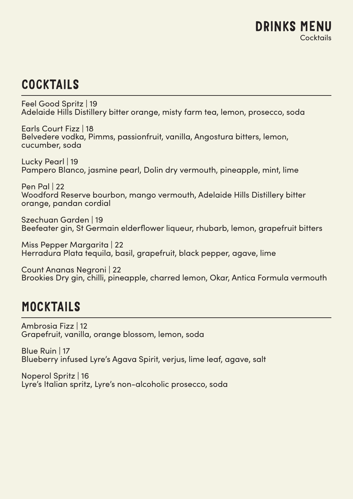## **COCKTAILS**

Feel Good Spritz | 19 Adelaide Hills Distillery bitter orange, misty farm tea, lemon, prosecco, soda

Earls Court Fizz | 18 Belvedere vodka, Pimms, passionfruit, vanilla, Angostura bitters, lemon, cucumber, soda

Lucky Pearl | 19 Pampero Blanco, jasmine pearl, Dolin dry vermouth, pineapple, mint, lime

Pen Pal | 22 Woodford Reserve bourbon, mango vermouth, Adelaide Hills Distillery bitter orange, pandan cordial

Szechuan Garden | 19 Beefeater gin, St Germain elderflower liqueur, rhubarb, lemon, grapefruit bitters

Miss Pepper Margarita | 22 Herradura Plata tequila, basil, grapefruit, black pepper, agave, lime

Count Ananas Negroni | 22 Brookies Dry gin, chilli, pineapple, charred lemon, Okar, Antica Formula vermouth

## MOCKTAILS

Ambrosia Fizz | 12 Grapefruit, vanilla, orange blossom, lemon, soda

Blue Ruin | 17 Blueberry infused Lyre's Agava Spirit, verjus, lime leaf, agave, salt

Noperol Spritz | 16 Lyre's Italian spritz, Lyre's non-alcoholic prosecco, soda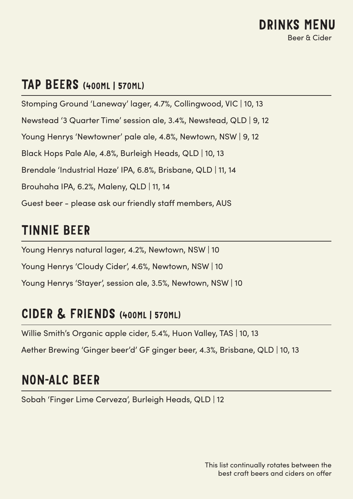### TAP BEERS (400ML | 570ML)

Stomping Ground 'Laneway' lager, 4.7%, Collingwood, VIC | 10, 13 Newstead '3 Quarter Time' session ale, 3.4%, Newstead, QLD | 9, 12 Young Henrys 'Newtowner' pale ale, 4.8%, Newtown, NSW | 9, 12 Black Hops Pale Ale, 4.8%, Burleigh Heads, QLD | 10, 13 Brendale 'Industrial Haze' IPA, 6.8%, Brisbane, QLD | 11, 14 Brouhaha IPA, 6.2%, Maleny, QLD | 11, 14 Guest beer - please ask our friendly staff members, AUS

## TINNIE BEER

Young Henrys natural lager, 4.2%, Newtown, NSW | 10 Young Henrys 'Cloudy Cider', 4.6%, Newtown, NSW | 10 Young Henrys 'Stayer', session ale, 3.5%, Newtown, NSW | 10

### CIDER & FRIENDS (400ML | 570ML)

Willie Smith's Organic apple cider, 5.4%, Huon Valley, TAS | 10, 13

Aether Brewing 'Ginger beer'd' GF ginger beer, 4.3%, Brisbane, QLD | 10, 13

## NON-ALC BEER

Sobah 'Finger Lime Cerveza', Burleigh Heads, QLD | 12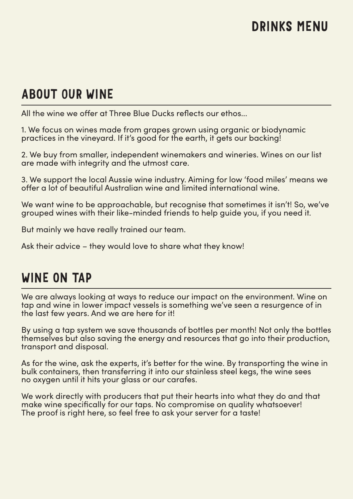## DRINKS MENU

## ABOUT OUR WINE

All the wine we offer at Three Blue Ducks reflects our ethos...

1. We focus on wines made from grapes grown using organic or biodynamic practices in the vineyard. If it's good for the earth, it gets our backing!

2. We buy from smaller, independent winemakers and wineries. Wines on our list are made with integrity and the utmost care.

3. We support the local Aussie wine industry. Aiming for low 'food miles' means we offer a lot of beautiful Australian wine and limited international wine.

We want wine to be approachable, but recognise that sometimes it isn't! So, we've grouped wines with their like-minded friends to help guide you, if you need it.

But mainly we have really trained our team.

Ask their advice – they would love to share what they know!

## WINE ON TAP

We are always looking at ways to reduce our impact on the environment. Wine on tap and wine in lower impact vessels is something we've seen a resurgence of in the last few years. And we are here for it!

By using a tap system we save thousands of bottles per month! Not only the bottles themselves but also saving the energy and resources that go into their production, transport and disposal.

As for the wine, ask the experts, it's better for the wine. By transporting the wine in bulk containers, then transferring it into our stainless steel kegs, the wine sees no oxygen until it hits your glass or our carafes.

We work directly with producers that put their hearts into what they do and that make wine specifically for our taps. No compromise on quality whatsoever! The proof is right here, so feel free to ask your server for a taste!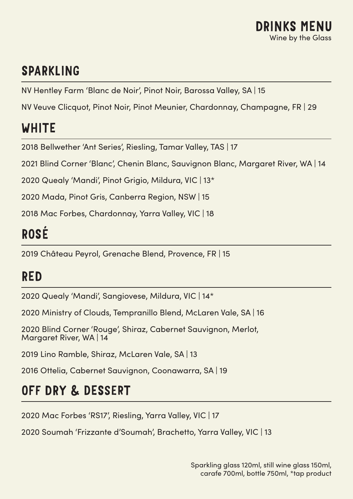## SPARKLING

NV Hentley Farm 'Blanc de Noir', Pinot Noir, Barossa Valley, SA | 15

NV Veuve Clicquot, Pinot Noir, Pinot Meunier, Chardonnay, Champagne, FR | 29

## WHITE

2018 Bellwether 'Ant Series', Riesling, Tamar Valley, TAS | 17

2021 Blind Corner 'Blanc', Chenin Blanc, Sauvignon Blanc, Margaret River, WA | 14

2020 Quealy 'Mandi', Pinot Grigio, Mildura, VIC | 13\*

2020 Mada, Pinot Gris, Canberra Region, NSW | 15

2018 Mac Forbes, Chardonnay, Yarra Valley, VIC | 18

## ROSÉ

2019 Château Peyrol, Grenache Blend, Provence, FR | 15

## RED

2020 Quealy 'Mandi', Sangiovese, Mildura, VIC | 14\*

2020 Ministry of Clouds, Tempranillo Blend, McLaren Vale, SA | 16

2020 Blind Corner 'Rouge', Shiraz, Cabernet Sauvignon, Merlot, Margaret River, WA | 14

2019 Lino Ramble, Shiraz, McLaren Vale, SA | 13

2016 Ottelia, Cabernet Sauvignon, Coonawarra, SA | 19

## OFF DRY & DESSERT

2020 Mac Forbes 'RS17', Riesling, Yarra Valley, VIC | 17

2020 Soumah 'Frizzante d'Soumah', Brachetto, Yarra Valley, VIC | 13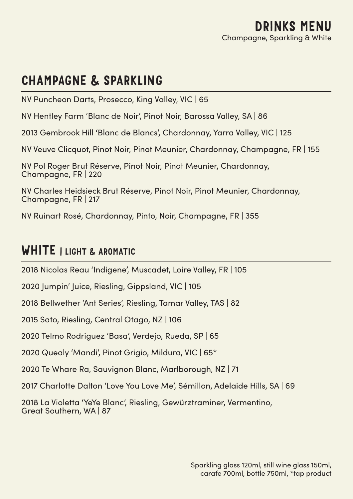## CHAMPAGNE & SPARKLING

NV Puncheon Darts, Prosecco, King Valley, VIC | 65

NV Hentley Farm 'Blanc de Noir', Pinot Noir, Barossa Valley, SA | 86

2013 Gembrook Hill 'Blanc de Blancs', Chardonnay, Yarra Valley, VIC | 125

NV Veuve Clicquot, Pinot Noir, Pinot Meunier, Chardonnay, Champagne, FR | 155

NV Pol Roger Brut Réserve, Pinot Noir, Pinot Meunier, Chardonnay, Champagne, FR | 220

NV Charles Heidsieck Brut Réserve, Pinot Noir, Pinot Meunier, Chardonnay, Champagne, FR | 217

NV Ruinart Rosé, Chardonnay, Pinto, Noir, Champagne, FR | 355

## WHITE I LIGHT & AROMATIC

2018 Nicolas Reau 'Indigene', Muscadet, Loire Valley, FR | 105

2020 Jumpin' Juice, Riesling, Gippsland, VIC | 105

2018 Bellwether 'Ant Series', Riesling, Tamar Valley, TAS | 82

2015 Sato, Riesling, Central Otago, NZ | 106

2020 Telmo Rodriguez 'Basa', Verdejo, Rueda, SP | 65

2020 Quealy 'Mandi', Pinot Grigio, Mildura, VIC | 65\*

2020 Te Whare Ra, Sauvignon Blanc, Marlborough, NZ | 71

2017 Charlotte Dalton 'Love You Love Me', Sémillon, Adelaide Hills, SA | 69

2018 La Violetta 'YeYe Blanc', Riesling, Gewürztraminer, Vermentino, Great Southern, WA | 87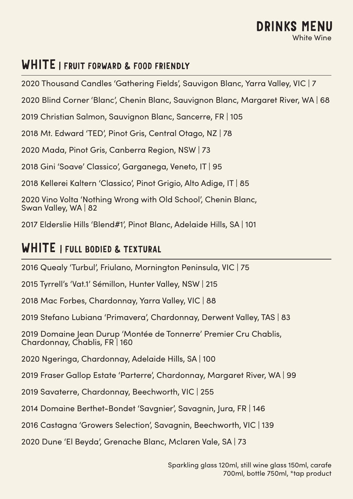#### WHITE I FRUIT FORWARD & FOOD FRIENDLY

2020 Thousand Candles 'Gathering Fields', Sauvigon Blanc, Yarra Valley, VIC | 7

2020 Blind Corner 'Blanc', Chenin Blanc, Sauvignon Blanc, Margaret River, WA | 68

2019 Christian Salmon, Sauvignon Blanc, Sancerre, FR | 105

2018 Mt. Edward 'TED', Pinot Gris, Central Otago, NZ | 78

2020 Mada, Pinot Gris, Canberra Region, NSW | 73

2018 Gini 'Soave' Classico', Garganega, Veneto, IT | 95

2018 Kellerei Kaltern 'Classico', Pinot Grigio, Alto Adige, IT | 85

2020 Vino Volta 'Nothing Wrong with Old School', Chenin Blanc, Swan Valley, WA | 82

2017 Elderslie Hills 'Blend#1', Pinot Blanc, Adelaide Hills, SA | 101

#### WHITE I FULL BODIED & TEXTURAL

2016 Quealy 'Turbul', Friulano, Mornington Peninsula, VIC | 75

2015 Tyrrell's 'Vat.1' Sémillon, Hunter Valley, NSW | 215

2018 Mac Forbes, Chardonnay, Yarra Valley, VIC | 88

2019 Stefano Lubiana 'Primavera', Chardonnay, Derwent Valley, TAS | 83

2019 Domaine Jean Durup 'Montée de Tonnerre' Premier Cru Chablis. Chardonnay, Chablis, FR | 160

2020 Ngeringa, Chardonnay, Adelaide Hills, SA | 100

2019 Fraser Gallop Estate 'Parterre', Chardonnay, Margaret River, WA | 99

2019 Savaterre, Chardonnay, Beechworth, VIC | 255

2014 Domaine Berthet-Bondet 'Savgnier', Savagnin, Jura, FR | 146

2016 Castagna 'Growers Selection', Savagnin, Beechworth, VIC | 139

2020 Dune 'El Beyda', Grenache Blanc, Mclaren Vale, SA | 73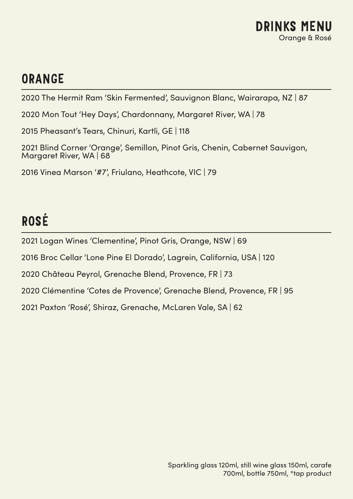

## ORANGE

2020 The Hermit Ram 'Skin Fermented', Sauvignon Blanc, Wairarapa, NZ | 87

2020 Mon Tout 'Hey Days', Chardonnany, Margaret River, WA | 78

2015 Pheasant's Tears, Chinuri, Kartli, GE | 118

2021 Blind Corner 'Orange', Semillon, Pinot Gris, Chenin, Cabernet Sauvigon, Margaret River, WA | 68

2016 Vinea Marson '#7', Friulano, Heathcote, VIC | 79

## ROSÉ

2021 Logan Wines 'Clementine', Pinot Gris, Orange, NSW | 69

2016 Broc Cellar 'Lone Pine El Dorado', Lagrein, California, USA | 120

2020 Château Peyrol, Grenache Blend, Provence, FR | 73

2020 Clémentine 'Cotes de Provence', Grenache Blend, Provence, FR | 95

2021 Paxton 'Rosé', Shiraz, Grenache, McLaren Vale, SA | 62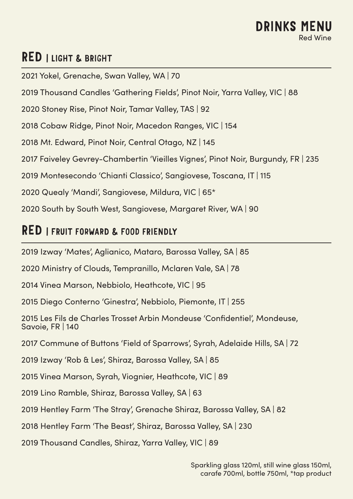#### RED | LIGHT & BRIGHT

2021 Yokel, Grenache, Swan Valley, WA | 70

2019 Thousand Candles 'Gathering Fields', Pinot Noir, Yarra Valley, VIC | 88

2020 Stoney Rise, Pinot Noir, Tamar Valley, TAS | 92

2018 Cobaw Ridge, Pinot Noir, Macedon Ranges, VIC | 154

2018 Mt. Edward, Pinot Noir, Central Otago, NZ | 145

2017 Faiveley Gevrey-Chambertin 'Vieilles Vignes', Pinot Noir, Burgundy, FR | 235

2019 Montesecondo 'Chianti Classico', Sangiovese, Toscana, IT | 115

2020 Quealy 'Mandi', Sangiovese, Mildura, VIC | 65\*

2020 South by South West, Sangiovese, Margaret River, WA | 90

#### RED | FRUIT FORWARD & FOOD FRIENDLY

2019 Izway 'Mates', Aglianico, Mataro, Barossa Valley, SA | 85

2020 Ministry of Clouds, Tempranillo, Mclaren Vale, SA | 78

2014 Vinea Marson, Nebbiolo, Heathcote, VIC | 95

2015 Diego Conterno 'Ginestra', Nebbiolo, Piemonte, IT | 255

2015 Les Fils de Charles Trosset Arbin Mondeuse 'Confidentiel', Mondeuse, Savoie, FR | 140

2017 Commune of Buttons 'Field of Sparrows', Syrah, Adelaide Hills, SA | 72

2019 Izway 'Rob & Les', Shiraz, Barossa Valley, SA | 85

2015 Vinea Marson, Syrah, Viognier, Heathcote, VIC | 89

2019 Lino Ramble, Shiraz, Barossa Valley, SA | 63

2019 Hentley Farm 'The Stray', Grenache Shiraz, Barossa Valley, SA | 82

2018 Hentley Farm 'The Beast', Shiraz, Barossa Valley, SA | 230

2019 Thousand Candles, Shiraz, Yarra Valley, VIC | 89

Sparkling glass 120ml, still wine glass 150ml, carafe 700ml, bottle 750ml, \*tap product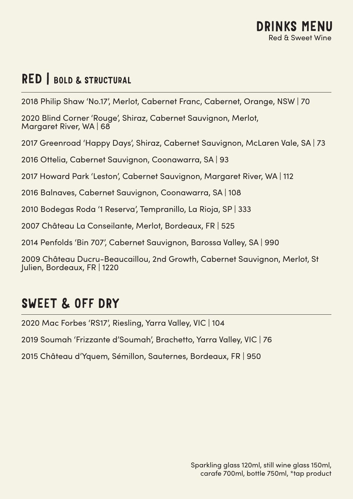## RED | BOLD & STRUCTURAL

2018 Philip Shaw 'No.17', Merlot, Cabernet Franc, Cabernet, Orange, NSW | 70

2020 Blind Corner 'Rouge', Shiraz, Cabernet Sauvignon, Merlot, Margaret River, WA | 68

2017 Greenroad 'Happy Days', Shiraz, Cabernet Sauvignon, McLaren Vale, SA | 73

2016 Ottelia, Cabernet Sauvignon, Coonawarra, SA | 93

2017 Howard Park 'Leston', Cabernet Sauvignon, Margaret River, WA | 112

2016 Balnaves, Cabernet Sauvignon, Coonawarra, SA | 108

2010 Bodegas Roda '1 Reserva', Tempranillo, La Rioja, SP | 333

2007 Château La Conseilante, Merlot, Bordeaux, FR | 525

2014 Penfolds 'Bin 707', Cabernet Sauvignon, Barossa Valley, SA | 990

2009 Château Ducru-Beaucaillou, 2nd Growth, Cabernet Sauvignon, Merlot, St Julien, Bordeaux, FR | 1220

## SWEET & OFF DRY

2020 Mac Forbes 'RS17', Riesling, Yarra Valley, VIC | 104

2019 Soumah 'Frizzante d'Soumah', Brachetto, Yarra Valley, VIC | 76

2015 Château d'Yquem, Sémillon, Sauternes, Bordeaux, FR | 950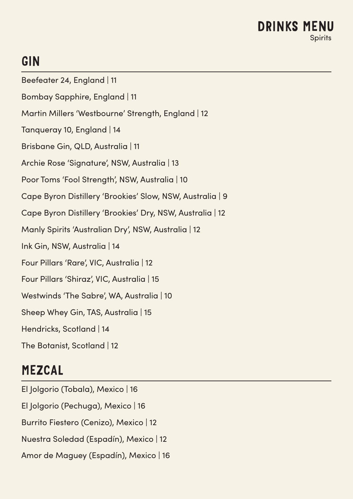#### DRINKS MENU Spirits

## GIN

- Beefeater 24, England | 11
- Bombay Sapphire, England | 11
- Martin Millers 'Westbourne' Strength, England | 12
- Tanqueray 10, England | 14
- Brisbane Gin, QLD, Australia | 11
- Archie Rose 'Signature', NSW, Australia | 13
- Poor Toms 'Fool Strength', NSW, Australia | 10
- Cape Byron Distillery 'Brookies' Slow, NSW, Australia | 9
- Cape Byron Distillery 'Brookies' Dry, NSW, Australia | 12
- Manly Spirits 'Australian Dry', NSW, Australia | 12
- Ink Gin, NSW, Australia | 14
- Four Pillars 'Rare', VIC, Australia | 12
- Four Pillars 'Shiraz', VIC, Australia | 15
- Westwinds 'The Sabre', WA, Australia | 10
- Sheep Whey Gin, TAS, Australia | 15
- Hendricks, Scotland | 14
- The Botanist, Scotland | 12

## MEZCAL

El Jolgorio (Tobala), Mexico | 16 El Jolgorio (Pechuga), Mexico | 16 Burrito Fiestero (Cenizo), Mexico | 12 Nuestra Soledad (Espadín), Mexico | 12 Amor de Maguey (Espadín), Mexico | 16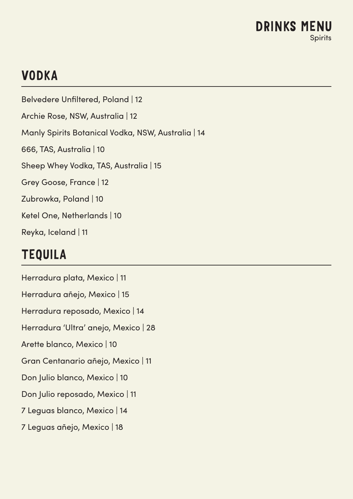## VODKA

Belvedere Unfiltered, Poland | 12 Archie Rose, NSW, Australia | 12 Manly Spirits Botanical Vodka, NSW, Australia | 14 666, TAS, Australia | 10 Sheep Whey Vodka, TAS, Australia | 15 Grey Goose, France | 12 Zubrowka, Poland | 10 Ketel One, Netherlands | 10 Reyka, Iceland | 11

## TEQUILA

Herradura plata, Mexico | 11 Herradura añejo, Mexico | 15 Herradura reposado, Mexico | 14 Herradura 'Ultra' anejo, Mexico | 28 Arette blanco, Mexico | 10 Gran Centanario añejo, Mexico | 11 Don Julio blanco, Mexico | 10 Don Julio reposado, Mexico | 11 7 Leguas blanco, Mexico | 14 7 Leguas añejo, Mexico | 18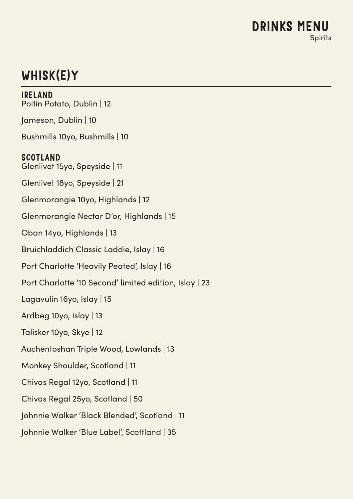## WHISK(E)Y

IRELAND Poitin Potato, Dublin | 12 Jameson, Dublin | 10 Bushmills 10yo, Bushmills | 10 SCOTLAND Glenlivet 15yo, Speyside | 11 Glenlivet 18yo, Speyside | 21 Glenmorangie 10yo, Highlands | 12 Glenmorangie Nectar D'or, Highlands | 15 Oban 14yo, Highlands | 13 Bruichladdich Classic Laddie, Islay | 16 Port Charlotte 'Heavily Peated', Islay | 16 Port Charlotte '10 Second' limited edition, Islay | 23 Lagavulin 16yo, Islay | 15 Ardbeg 10yo, Islay | 13 Talisker 10yo, Skye | 12 Auchentoshan Triple Wood, Lowlands | 13 Monkey Shoulder, Scotland | 11 Chivas Regal 12yo, Scotland | 11 Chivas Regal 25yo, Scotland | 50 Johnnie Walker 'Black Blended', Scotland | 11 Johnnie Walker 'Blue Label', Scottland | 35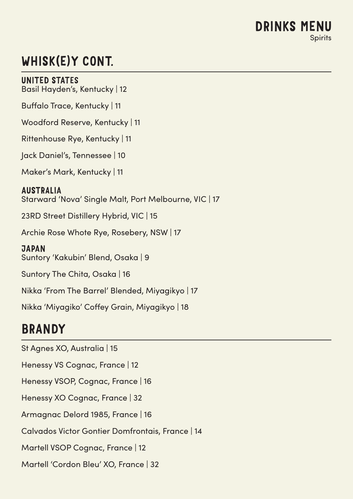## WHISK(E)Y CONT.

UNITED STATES

Basil Hayden's, Kentucky | 12

Buffalo Trace, Kentucky | 11

Woodford Reserve, Kentucky | 11

Rittenhouse Rye, Kentucky | 11

Jack Daniel's, Tennessee | 10

Maker's Mark, Kentucky | 11

AUSTRALIA Starward 'Nova' Single Malt, Port Melbourne, VIC | 17

23RD Street Distillery Hybrid, VIC | 15

Archie Rose Whote Rye, Rosebery, NSW | 17

**JAPAN** Suntory 'Kakubin' Blend, Osaka | 9

Suntory The Chita, Osaka | 16

Nikka 'From The Barrel' Blended, Miyagikyo | 17

Nikka 'Miyagiko' Coffey Grain, Miyagikyo | 18

## BRANDY

St Agnes XO, Australia | 15 Henessy VS Cognac, France | 12 Henessy VSOP, Cognac, France | 16 Henessy XO Cognac, France | 32 Armagnac Delord 1985, France | 16 Calvados Victor Gontier Domfrontais, France | 14 Martell VSOP Cognac, France | 12 Martell 'Cordon Bleu' XO, France | 32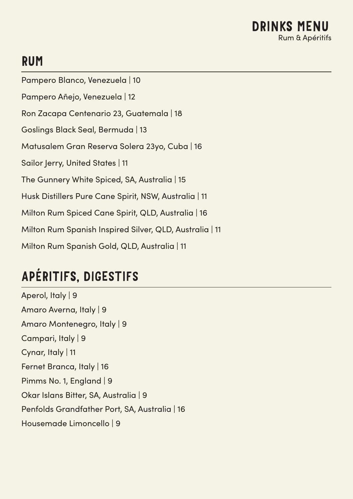## RUM

Pampero Blanco, Venezuela | 10 Pampero Añejo, Venezuela | 12 Ron Zacapa Centenario 23, Guatemala | 18 Goslings Black Seal, Bermuda | 13 Matusalem Gran Reserva Solera 23yo, Cuba | 16 Sailor Jerry, United States | 11 The Gunnery White Spiced, SA, Australia | 15 Husk Distillers Pure Cane Spirit, NSW, Australia | 11 Milton Rum Spiced Cane Spirit, QLD, Australia | 16 Milton Rum Spanish Inspired Silver, QLD, Australia | 11 Milton Rum Spanish Gold, QLD, Australia | 11

## APÉRITIFS, DIGESTIFS

Aperol, Italy | 9 Amaro Averna, Italy | 9 Amaro Montenegro, Italy | 9 Campari, Italy | 9 Cynar, Italy | 11 Fernet Branca, Italy | 16 Pimms No. 1, England | 9 Okar Islans Bitter, SA, Australia | 9 Penfolds Grandfather Port, SA, Australia | 16 Housemade Limoncello | 9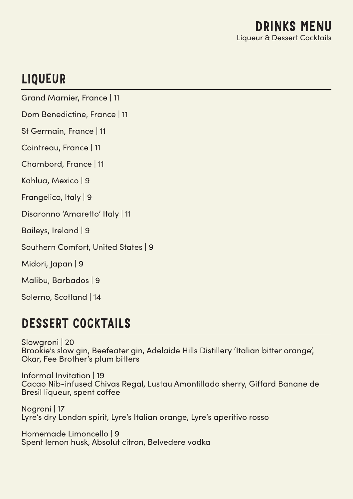## LIQUEUR

Grand Marnier, France | 11

Dom Benedictine, France | 11

St Germain, France | 11

Cointreau, France | 11

Chambord, France | 11

Kahlua, Mexico | 9

Frangelico, Italy | 9

Disaronno 'Amaretto' Italy | 11

Baileys, Ireland | 9

Southern Comfort, United States | 9

Midori, Japan | 9

Malibu, Barbados | 9

Solerno, Scotland | 14

## DESSERT COCKTAILS

Slowgroni | 20 Brookie's slow gin, Beefeater gin, Adelaide Hills Distillery 'Italian bitter orange', Okar, Fee Brother's plum bitters

Informal Invitation | 19 Cacao Nib-infused Chivas Regal, Lustau Amontillado sherry, Giffard Banane de Bresil liqueur, spent coffee

Nogroni | 17 Lyre's dry London spirit, Lyre's Italian orange, Lyre's aperitivo rosso

Homemade Limoncello | 9 Spent lemon husk, Absolut citron, Belvedere vodka